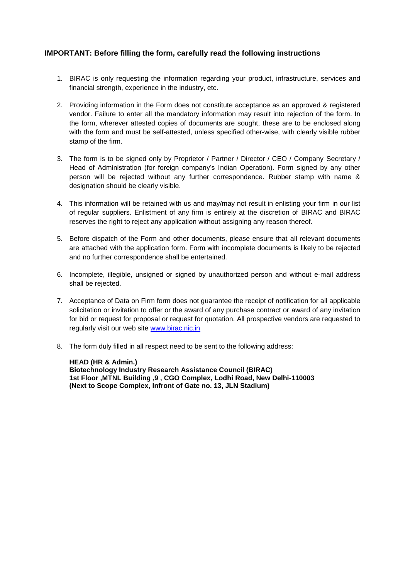## **IMPORTANT: Before filling the form, carefully read the following instructions**

- 1. BIRAC is only requesting the information regarding your product, infrastructure, services and financial strength, experience in the industry, etc.
- 2. Providing information in the Form does not constitute acceptance as an approved & registered vendor. Failure to enter all the mandatory information may result into rejection of the form. In the form, wherever attested copies of documents are sought, these are to be enclosed along with the form and must be self-attested, unless specified other-wise, with clearly visible rubber stamp of the firm.
- 3. The form is to be signed only by Proprietor / Partner / Director / CEO / Company Secretary / Head of Administration (for foreign company's Indian Operation). Form signed by any other person will be rejected without any further correspondence. Rubber stamp with name & designation should be clearly visible.
- 4. This information will be retained with us and may/may not result in enlisting your firm in our list of regular suppliers. Enlistment of any firm is entirely at the discretion of BIRAC and BIRAC reserves the right to reject any application without assigning any reason thereof.
- 5. Before dispatch of the Form and other documents, please ensure that all relevant documents are attached with the application form. Form with incomplete documents is likely to be rejected and no further correspondence shall be entertained.
- 6. Incomplete, illegible, unsigned or signed by unauthorized person and without e-mail address shall be rejected.
- 7. Acceptance of Data on Firm form does not guarantee the receipt of notification for all applicable solicitation or invitation to offer or the award of any purchase contract or award of any invitation for bid or request for proposal or request for quotation. All prospective vendors are requested to regularly visit our web site [www.birac.nic.in](http://www.birac.nic.in/)
- 8. The form duly filled in all respect need to be sent to the following address:

**HEAD (HR & Admin.) Biotechnology Industry Research Assistance Council (BIRAC) 1st Floor ,MTNL Building ,9 , CGO Complex, Lodhi Road, New Delhi-110003 (Next to Scope Complex, Infront of Gate no. 13, JLN Stadium)**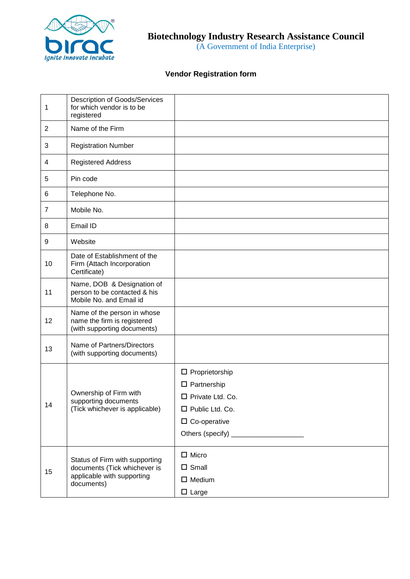

(A Government of India Enterprise)

## **Vendor Registration form**

| 1              | <b>Description of Goods/Services</b><br>for which vendor is to be<br>registered                            |                                                                                                                          |
|----------------|------------------------------------------------------------------------------------------------------------|--------------------------------------------------------------------------------------------------------------------------|
| 2              | Name of the Firm                                                                                           |                                                                                                                          |
| 3              | <b>Registration Number</b>                                                                                 |                                                                                                                          |
| 4              | <b>Registered Address</b>                                                                                  |                                                                                                                          |
| 5              | Pin code                                                                                                   |                                                                                                                          |
| 6              | Telephone No.                                                                                              |                                                                                                                          |
| $\overline{7}$ | Mobile No.                                                                                                 |                                                                                                                          |
| 8              | Email ID                                                                                                   |                                                                                                                          |
| 9              | Website                                                                                                    |                                                                                                                          |
| 10             | Date of Establishment of the<br>Firm (Attach Incorporation<br>Certificate)                                 |                                                                                                                          |
| 11             | Name, DOB & Designation of<br>person to be contacted & his<br>Mobile No. and Email id                      |                                                                                                                          |
| 12             | Name of the person in whose<br>name the firm is registered<br>(with supporting documents)                  |                                                                                                                          |
| 13             | Name of Partners/Directors<br>(with supporting documents)                                                  |                                                                                                                          |
| 14             | Ownership of Firm with<br>supporting documents<br>(Tick whichever is applicable)                           | $\Box$ Proprietorship<br>$\square$ Partnership<br>□ Private Ltd. Co.<br>$\Box$ Public Ltd. Co.<br>$\square$ Co-operative |
| 15             | Status of Firm with supporting<br>documents (Tick whichever is<br>applicable with supporting<br>documents) | $\Box$ Micro<br>$\square$ Small<br>$\Box$ Medium<br>$\Box$ Large                                                         |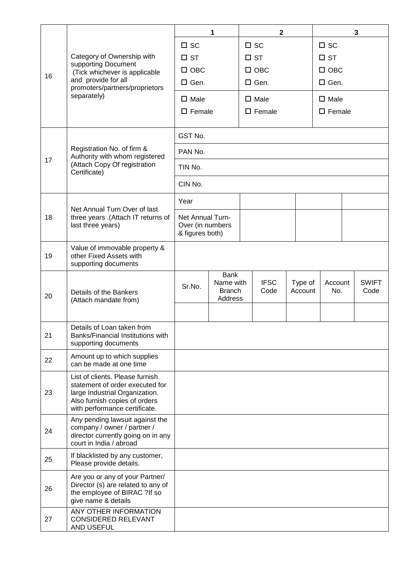|    |                                                                                                                                                                        | 1                                                              |                                                      | $\mathbf{2}$     |                     |                    | 3                |  |                      |  |
|----|------------------------------------------------------------------------------------------------------------------------------------------------------------------------|----------------------------------------------------------------|------------------------------------------------------|------------------|---------------------|--------------------|------------------|--|----------------------|--|
| 16 | Category of Ownership with<br>supporting Document<br>(Tick whichever is applicable<br>and provide for all<br>promoters/partners/proprietors<br>separately)             | $\square$ SC                                                   |                                                      | $\square$ sc     |                     |                    | $\square$ sc     |  |                      |  |
|    |                                                                                                                                                                        | $\square$ ST                                                   |                                                      | $\square$ ST     |                     |                    | $\square$ ST     |  |                      |  |
|    |                                                                                                                                                                        | $\square$ OBC                                                  |                                                      | $\square$ OBC    |                     |                    | $\square$ OBC    |  |                      |  |
|    |                                                                                                                                                                        | $\Box$ Gen.                                                    |                                                      | $\Box$ Gen.      |                     |                    | $\Box$ Gen.      |  |                      |  |
|    |                                                                                                                                                                        | $\square$ Male                                                 |                                                      | $\square$ Male   |                     |                    | $\square$ Male   |  |                      |  |
|    |                                                                                                                                                                        | $\square$ Female                                               |                                                      | $\square$ Female |                     |                    | $\square$ Female |  |                      |  |
|    |                                                                                                                                                                        |                                                                |                                                      |                  |                     |                    |                  |  |                      |  |
| 17 | Registration No. of firm &<br>Authority with whom registered<br>(Attach Copy Of registration<br>Certificate)                                                           | GST No.                                                        |                                                      |                  |                     |                    |                  |  |                      |  |
|    |                                                                                                                                                                        | PAN No.                                                        |                                                      |                  |                     |                    |                  |  |                      |  |
|    |                                                                                                                                                                        | TIN No.                                                        |                                                      |                  |                     |                    |                  |  |                      |  |
|    |                                                                                                                                                                        | CIN No.                                                        |                                                      |                  |                     |                    |                  |  |                      |  |
| 18 | Net Annual Turn Over of last<br>three years .(Attach IT returns of<br>last three years)                                                                                | Year                                                           |                                                      |                  |                     |                    |                  |  |                      |  |
|    |                                                                                                                                                                        | <b>Net Annual Turn-</b><br>Over (in numbers<br>& figures both) |                                                      |                  |                     |                    |                  |  |                      |  |
| 19 | Value of immovable property &<br>other Fixed Assets with<br>supporting documents                                                                                       |                                                                |                                                      |                  |                     |                    |                  |  |                      |  |
| 20 | Details of the Bankers<br>(Attach mandate from)                                                                                                                        | Sr.No.                                                         | <b>Bank</b><br>Name with<br><b>Branch</b><br>Address |                  | <b>IFSC</b><br>Code | Type of<br>Account | Account<br>No.   |  | <b>SWIFT</b><br>Code |  |
|    |                                                                                                                                                                        |                                                                |                                                      |                  |                     |                    |                  |  |                      |  |
| 21 | Details of Loan taken from<br>Banks/Financial Institutions with<br>supporting documents                                                                                |                                                                |                                                      |                  |                     |                    |                  |  |                      |  |
| 22 | Amount up to which supplies<br>can be made at one time                                                                                                                 |                                                                |                                                      |                  |                     |                    |                  |  |                      |  |
| 23 | List of clients. Please furnish<br>statement of order executed for<br>large Industrial Organization.<br>Also furnish copies of orders<br>with performance certificate. |                                                                |                                                      |                  |                     |                    |                  |  |                      |  |
| 24 | Any pending lawsuit against the<br>company / owner / partner /<br>director currently going on in any<br>court in India / abroad                                        |                                                                |                                                      |                  |                     |                    |                  |  |                      |  |
| 25 | If blacklisted by any customer,<br>Please provide details.                                                                                                             |                                                                |                                                      |                  |                     |                    |                  |  |                      |  |
| 26 | Are you or any of your Partner/<br>Director (s) are related to any of<br>the employee of BIRAC ?If so<br>give name & details                                           |                                                                |                                                      |                  |                     |                    |                  |  |                      |  |
| 27 | <b>ANY OTHER INFORMATION</b><br><b>CONSIDERED RELEVANT</b><br>AND USEFUL                                                                                               |                                                                |                                                      |                  |                     |                    |                  |  |                      |  |